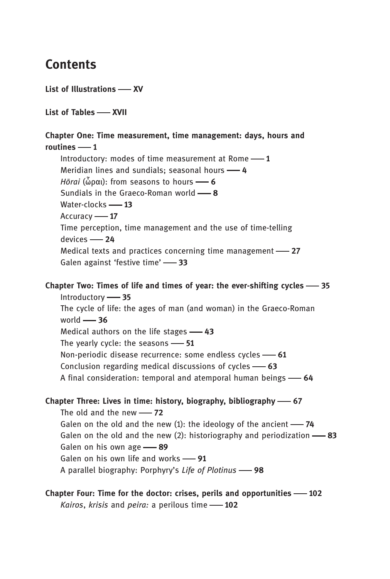## **Contents**

List of Illustrations - XV

List of Tables - XVII

Chapter One: Time measurement, time management: days, hours and routines  $-1$ Introductory: modes of time measurement at Rome $\sim$ 1 Meridian lines and sundials; seasonal hours  $-\underline{4}$ Hōrai (ὧραι): from seasons to hours  $\rightarrow$  6 Sundials in the Graeco-Roman world  $-$  8 Water-clocks $-13$ Accuracy -17 Time perception, time management and the use of time-telling devices -24 Medical texts and practices concerning time management  $-27$ Galen against 'festive time' -83 Chapter Two: Times of life and times of year: the ever-shifting cycles - 35 Introductory -85 The cycle of life: the ages of man (and woman) in the Graeco-Roman world  $-$  36 Medical authors on the life stages  $-43$ The yearly cycle: the seasons  $-$  51 Non-periodic disease recurrence: some endless cycles  $\leftarrow$  61 Conclusion regarding medical discussions of cycles  $\rightarrow$  63 A final consideration: temporal and atemporal human beings  $-64$ Chapter Three: Lives in time: history, biography, bibliography -67 The old and the new  $-$ 72 Galen on the old and the new  $(1)$ : the ideology of the ancient  $-$ 74 Galen on the old and the new (2): historiography and periodization  $-$  83

Galen on his own life and works  $-91$ 

Galen on his own age  $-89$ 

A parallel biography: Porphyry's Life of Plotinus - 98

Chapter Four: Time for the doctor: crises, perils and opportunities - 102 Kairos, krisis and peira: a perilous time  $-$  102